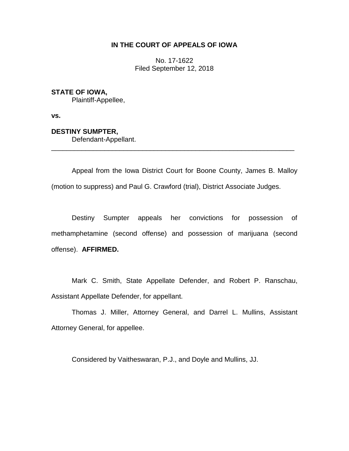## **IN THE COURT OF APPEALS OF IOWA**

No. 17-1622 Filed September 12, 2018

### **STATE OF IOWA,**

Plaintiff-Appellee,

**vs.**

# **DESTINY SUMPTER,**

Defendant-Appellant.

Appeal from the Iowa District Court for Boone County, James B. Malloy (motion to suppress) and Paul G. Crawford (trial), District Associate Judges.

\_\_\_\_\_\_\_\_\_\_\_\_\_\_\_\_\_\_\_\_\_\_\_\_\_\_\_\_\_\_\_\_\_\_\_\_\_\_\_\_\_\_\_\_\_\_\_\_\_\_\_\_\_\_\_\_\_\_\_\_\_\_\_\_

Destiny Sumpter appeals her convictions for possession of methamphetamine (second offense) and possession of marijuana (second offense). **AFFIRMED.**

Mark C. Smith, State Appellate Defender, and Robert P. Ranschau, Assistant Appellate Defender, for appellant.

Thomas J. Miller, Attorney General, and Darrel L. Mullins, Assistant Attorney General, for appellee.

Considered by Vaitheswaran, P.J., and Doyle and Mullins, JJ.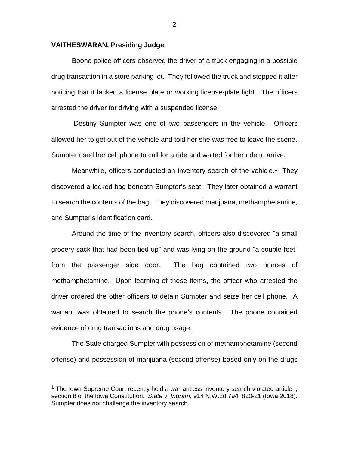### **VAITHESWARAN, Presiding Judge.**

 $\overline{a}$ 

Boone police officers observed the driver of a truck engaging in a possible drug transaction in a store parking lot. They followed the truck and stopped it after noticing that it lacked a license plate or working license-plate light. The officers arrested the driver for driving with a suspended license.

Destiny Sumpter was one of two passengers in the vehicle. Officers allowed her to get out of the vehicle and told her she was free to leave the scene. Sumpter used her cell phone to call for a ride and waited for her ride to arrive.

Meanwhile, officers conducted an inventory search of the vehicle.<sup>1</sup> They discovered a locked bag beneath Sumpter's seat. They later obtained a warrant to search the contents of the bag. They discovered marijuana, methamphetamine, and Sumpter's identification card.

Around the time of the inventory search, officers also discovered "a small grocery sack that had been tied up" and was lying on the ground "a couple feet" from the passenger side door. The bag contained two ounces of methamphetamine. Upon learning of these items, the officer who arrested the driver ordered the other officers to detain Sumpter and seize her cell phone. A warrant was obtained to search the phone's contents. The phone contained evidence of drug transactions and drug usage.

The State charged Sumpter with possession of methamphetamine (second offense) and possession of marijuana (second offense) based only on the drugs

 $1$  The Iowa Supreme Court recently held a warrantless inventory search violated article I, section 8 of the Iowa Constitution. *State v*. *Ingram*, 914 N.W.2d 794, 820-21 (Iowa 2018). Sumpter does not challenge the inventory search.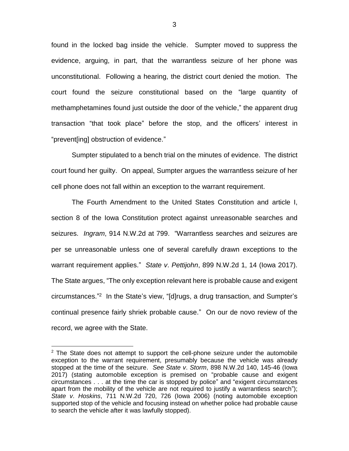found in the locked bag inside the vehicle. Sumpter moved to suppress the evidence, arguing, in part, that the warrantless seizure of her phone was unconstitutional. Following a hearing, the district court denied the motion. The court found the seizure constitutional based on the "large quantity of methamphetamines found just outside the door of the vehicle," the apparent drug transaction "that took place" before the stop, and the officers' interest in "prevent[ing] obstruction of evidence."

Sumpter stipulated to a bench trial on the minutes of evidence. The district court found her guilty. On appeal, Sumpter argues the warrantless seizure of her cell phone does not fall within an exception to the warrant requirement.

The Fourth Amendment to the United States Constitution and article I, section 8 of the Iowa Constitution protect against unreasonable searches and seizures. *Ingram*, 914 N.W.2d at 799. "Warrantless searches and seizures are per se unreasonable unless one of several carefully drawn exceptions to the warrant requirement applies." *State v*. *Pettijohn*, 899 N.W.2d 1, 14 (Iowa 2017). The State argues, "The only exception relevant here is probable cause and exigent circumstances." 2 In the State's view, "[d]rugs, a drug transaction, and Sumpter's continual presence fairly shriek probable cause." On our de novo review of the record, we agree with the State.

 $\overline{a}$ 

 $2$  The State does not attempt to support the cell-phone seizure under the automobile exception to the warrant requirement, presumably because the vehicle was already stopped at the time of the seizure. *See State v*. *Storm*, 898 N.W.2d 140, 145-46 (Iowa 2017) (stating automobile exception is premised on "probable cause and exigent circumstances . . . at the time the car is stopped by police" and "exigent circumstances apart from the mobility of the vehicle are not required to justify a warrantless search"); *State v*. *Hoskins*, 711 N.W.2d 720, 726 (Iowa 2006) (noting automobile exception supported stop of the vehicle and focusing instead on whether police had probable cause to search the vehicle after it was lawfully stopped).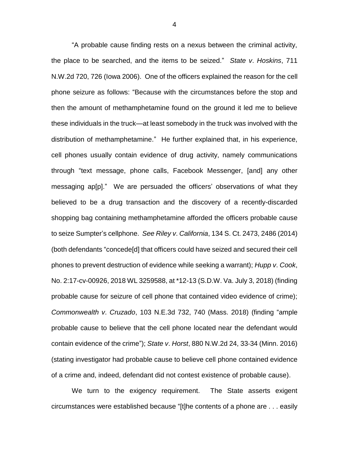"A probable cause finding rests on a nexus between the criminal activity, the place to be searched, and the items to be seized." *State v*. *Hoskins*, 711 N.W.2d 720, 726 (Iowa 2006). One of the officers explained the reason for the cell phone seizure as follows: "Because with the circumstances before the stop and then the amount of methamphetamine found on the ground it led me to believe these individuals in the truck—at least somebody in the truck was involved with the distribution of methamphetamine." He further explained that, in his experience, cell phones usually contain evidence of drug activity, namely communications through "text message, phone calls, Facebook Messenger, [and] any other messaging ap[p]." We are persuaded the officers' observations of what they believed to be a drug transaction and the discovery of a recently-discarded shopping bag containing methamphetamine afforded the officers probable cause to seize Sumpter's cellphone. *See Riley v*. *California*, 134 S. Ct. 2473, 2486 (2014) (both defendants "concede[d] that officers could have seized and secured their cell phones to prevent destruction of evidence while seeking a warrant); *Hupp v*. *Cook*, No. 2:17-cv-00926, 2018 WL 3259588, at \*12-13 (S.D.W. Va. July 3, 2018) (finding probable cause for seizure of cell phone that contained video evidence of crime); *Commonwealth v*. *Cruzado*, 103 N.E.3d 732, 740 (Mass. 2018) (finding "ample probable cause to believe that the cell phone located near the defendant would contain evidence of the crime"); *State v*. *Horst*, 880 N.W.2d 24, 33-34 (Minn. 2016) (stating investigator had probable cause to believe cell phone contained evidence of a crime and, indeed, defendant did not contest existence of probable cause).

We turn to the exigency requirement. The State asserts exigent circumstances were established because "[t]he contents of a phone are . . . easily

4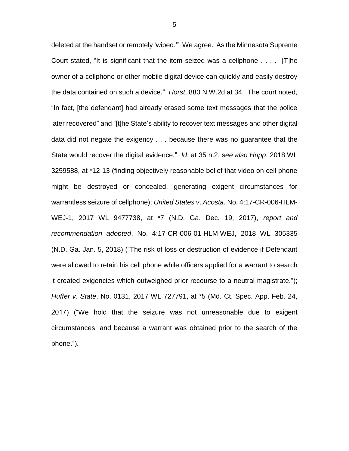deleted at the handset or remotely 'wiped.'" We agree. As the Minnesota Supreme Court stated, "It is significant that the item seized was a cellphone . . . . [T]he owner of a cellphone or other mobile digital device can quickly and easily destroy the data contained on such a device." *Horst*, 880 N.W.2d at 34. The court noted, "In fact, [the defendant] had already erased some text messages that the police later recovered" and "[t]he State's ability to recover text messages and other digital data did not negate the exigency . . . because there was no guarantee that the State would recover the digital evidence." *Id*. at 35 n.2; s*ee also Hupp*, 2018 WL 3259588, at \*12-13 (finding objectively reasonable belief that video on cell phone might be destroyed or concealed, generating exigent circumstances for warrantless seizure of cellphone); *United States v*. *Acosta*, No. 4:17-CR-006-HLM-WEJ-1, 2017 WL 9477738, at \*7 (N.D. Ga. Dec. 19, 2017), *report and recommendation adopted*, No. 4:17-CR-006-01-HLM-WEJ, 2018 WL 305335 (N.D. Ga. Jan. 5, 2018) ("The risk of loss or destruction of evidence if Defendant were allowed to retain his cell phone while officers applied for a warrant to search it created exigencies which outweighed prior recourse to a neutral magistrate."); *Huffer v*. *State*, No. 0131, 2017 WL 727791, at \*5 (Md. Ct. Spec. App. Feb. 24, 2017) ("We hold that the seizure was not unreasonable due to exigent circumstances, and because a warrant was obtained prior to the search of the phone.").